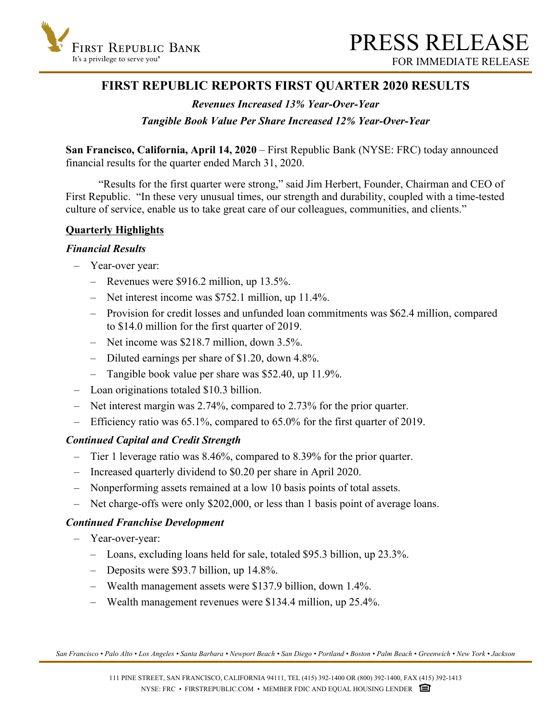

# **FIRST REPUBLIC REPORTS FIRST QUARTER 2020 RESULTS**

*Revenues Increased 13% Year-Over-Year Tangible Book Value Per Share Increased 12% Year-Over-Year*

**San Francisco, California, April 14, 2020** – First Republic Bank (NYSE: FRC) today announced financial results for the quarter ended March 31, 2020.

"Results for the first quarter were strong," said Jim Herbert, Founder, Chairman and CEO of First Republic. "In these very unusual times, our strength and durability, coupled with a time-tested culture of service, enable us to take great care of our colleagues, communities, and clients."

## **Quarterly Highlights**

#### *Financial Results*

- Year-over year:
	- Revenues were \$916.2 million, up 13.5%.
	- Net interest income was \$752.1 million, up 11.4%.
	- Provision for credit losses and unfunded loan commitments was \$62.4 million, compared to \$14.0 million for the first quarter of 2019.
	- Net income was \$218.7 million, down 3.5%.
	- Diluted earnings per share of \$1.20, down 4.8%.
	- Tangible book value per share was \$52.40, up 11.9%.
- Loan originations totaled \$10.3 billion.
- Net interest margin was 2.74%, compared to 2.73% for the prior quarter.
- Efficiency ratio was 65.1%, compared to 65.0% for the first quarter of 2019.

#### *Continued Capital and Credit Strength*

- Tier 1 leverage ratio was 8.46%, compared to 8.39% for the prior quarter.
- Increased quarterly dividend to \$0.20 per share in April 2020.
- Nonperforming assets remained at a low 10 basis points of total assets.
- Net charge-offs were only \$202,000, or less than 1 basis point of average loans.

#### *Continued Franchise Development*

- Year-over-year:
	- Loans, excluding loans held for sale, totaled \$95.3 billion, up 23.3%.
	- Deposits were \$93.7 billion, up 14.8%.
	- Wealth management assets were \$137.9 billion, down 1.4%.
	- Wealth management revenues were \$134.4 million, up 25.4%.

*San Francisco • Palo Alto • Los Angeles • Santa Barbara • Newport Beach • San Diego • Portland • Boston • Palm Beach • Greenwich • New York • Jackson*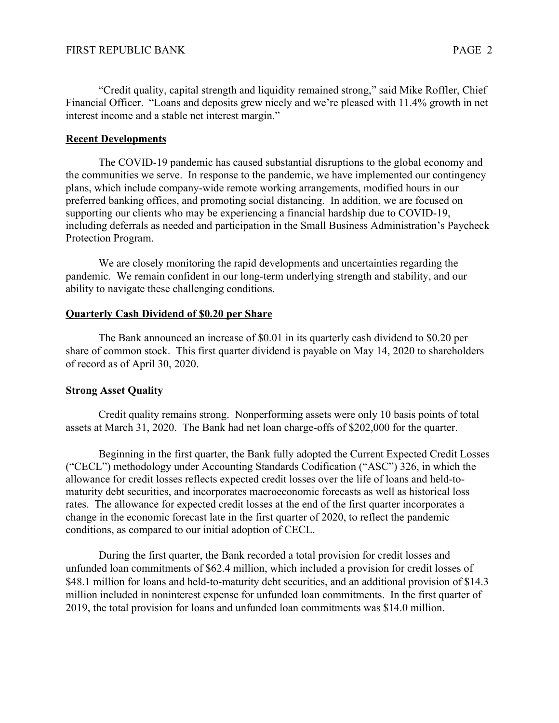"Credit quality, capital strength and liquidity remained strong," said Mike Roffler, Chief Financial Officer. "Loans and deposits grew nicely and we're pleased with 11.4% growth in net interest income and a stable net interest margin."

#### **Recent Developments**

The COVID-19 pandemic has caused substantial disruptions to the global economy and the communities we serve. In response to the pandemic, we have implemented our contingency plans, which include company-wide remote working arrangements, modified hours in our preferred banking offices, and promoting social distancing. In addition, we are focused on supporting our clients who may be experiencing a financial hardship due to COVID-19, including deferrals as needed and participation in the Small Business Administration's Paycheck Protection Program.

We are closely monitoring the rapid developments and uncertainties regarding the pandemic. We remain confident in our long-term underlying strength and stability, and our ability to navigate these challenging conditions.

#### **Quarterly Cash Dividend of \$0.20 per Share**

The Bank announced an increase of \$0.01 in its quarterly cash dividend to \$0.20 per share of common stock. This first quarter dividend is payable on May 14, 2020 to shareholders of record as of April 30, 2020.

#### **Strong Asset Quality**

Credit quality remains strong. Nonperforming assets were only 10 basis points of total assets at March 31, 2020. The Bank had net loan charge-offs of \$202,000 for the quarter.

Beginning in the first quarter, the Bank fully adopted the Current Expected Credit Losses ("CECL") methodology under Accounting Standards Codification ("ASC") 326, in which the allowance for credit losses reflects expected credit losses over the life of loans and held-tomaturity debt securities, and incorporates macroeconomic forecasts as well as historical loss rates. The allowance for expected credit losses at the end of the first quarter incorporates a change in the economic forecast late in the first quarter of 2020, to reflect the pandemic conditions, as compared to our initial adoption of CECL.

During the first quarter, the Bank recorded a total provision for credit losses and unfunded loan commitments of \$62.4 million, which included a provision for credit losses of \$48.1 million for loans and held-to-maturity debt securities, and an additional provision of \$14.3 million included in noninterest expense for unfunded loan commitments. In the first quarter of 2019, the total provision for loans and unfunded loan commitments was \$14.0 million.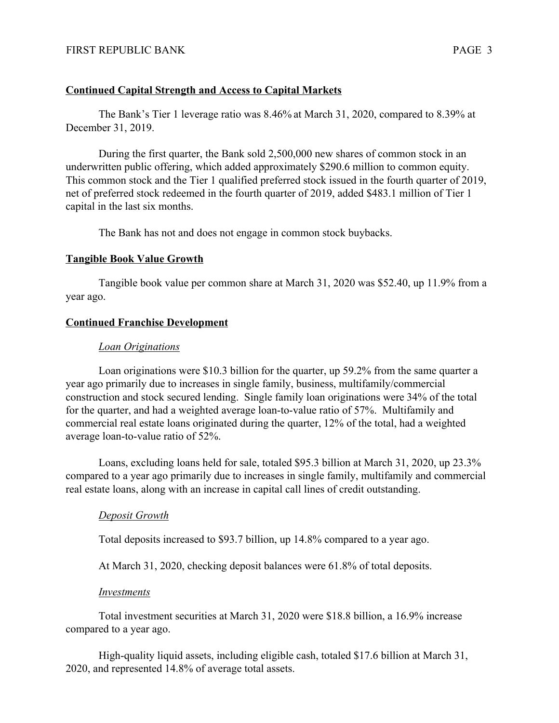## **Continued Capital Strength and Access to Capital Markets**

The Bank's Tier 1 leverage ratio was 8.46% at March 31, 2020, compared to 8.39% at December 31, 2019.

During the first quarter, the Bank sold 2,500,000 new shares of common stock in an underwritten public offering, which added approximately \$290.6 million to common equity. This common stock and the Tier 1 qualified preferred stock issued in the fourth quarter of 2019, net of preferred stock redeemed in the fourth quarter of 2019, added \$483.1 million of Tier 1 capital in the last six months.

The Bank has not and does not engage in common stock buybacks.

#### **Tangible Book Value Growth**

Tangible book value per common share at March 31, 2020 was \$52.40, up 11.9% from a year ago.

### **Continued Franchise Development**

#### *Loan Originations*

Loan originations were \$10.3 billion for the quarter, up 59.2% from the same quarter a year ago primarily due to increases in single family, business, multifamily/commercial construction and stock secured lending. Single family loan originations were 34% of the total for the quarter, and had a weighted average loan-to-value ratio of 57%. Multifamily and commercial real estate loans originated during the quarter, 12% of the total, had a weighted average loan-to-value ratio of 52%.

Loans, excluding loans held for sale, totaled \$95.3 billion at March 31, 2020, up 23.3% compared to a year ago primarily due to increases in single family, multifamily and commercial real estate loans, along with an increase in capital call lines of credit outstanding.

#### *Deposit Growth*

Total deposits increased to \$93.7 billion, up 14.8% compared to a year ago.

At March 31, 2020, checking deposit balances were 61.8% of total deposits.

#### *Investments*

Total investment securities at March 31, 2020 were \$18.8 billion, a 16.9% increase compared to a year ago.

High-quality liquid assets, including eligible cash, totaled \$17.6 billion at March 31, 2020, and represented 14.8% of average total assets.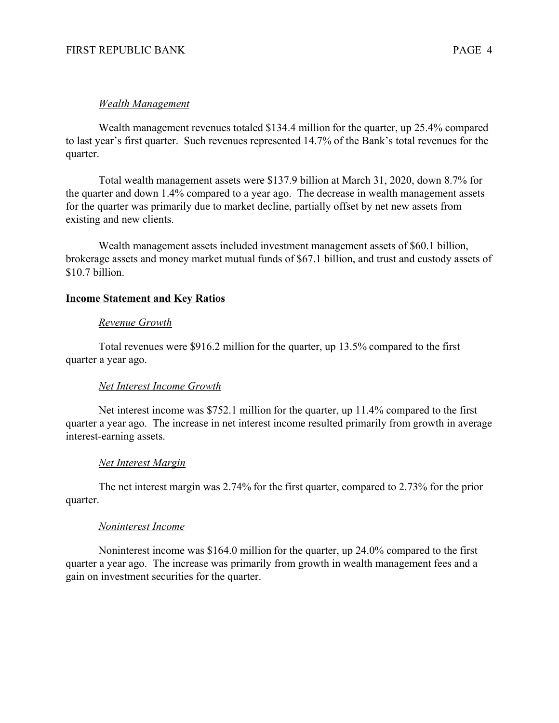#### *Wealth Management*

Wealth management revenues totaled \$134.4 million for the quarter, up 25.4% compared to last year's first quarter. Such revenues represented 14.7% of the Bank's total revenues for the quarter.

Total wealth management assets were \$137.9 billion at March 31, 2020, down 8.7% for the quarter and down 1.4% compared to a year ago. The decrease in wealth management assets for the quarter was primarily due to market decline, partially offset by net new assets from existing and new clients.

Wealth management assets included investment management assets of \$60.1 billion, brokerage assets and money market mutual funds of \$67.1 billion, and trust and custody assets of \$10.7 billion.

#### **Income Statement and Key Ratios**

#### *Revenue Growth*

Total revenues were \$916.2 million for the quarter, up 13.5% compared to the first quarter a year ago.

#### *Net Interest Income Growth*

Net interest income was \$752.1 million for the quarter, up 11.4% compared to the first quarter a year ago. The increase in net interest income resulted primarily from growth in average interest-earning assets.

#### *Net Interest Margin*

The net interest margin was 2.74% for the first quarter, compared to 2.73% for the prior quarter.

#### *Noninterest Income*

Noninterest income was \$164.0 million for the quarter, up 24.0% compared to the first quarter a year ago. The increase was primarily from growth in wealth management fees and a gain on investment securities for the quarter.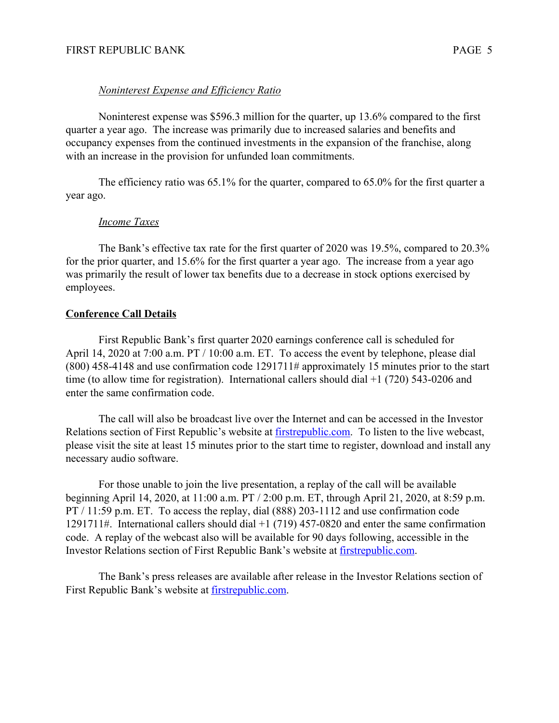### *Noninterest Expense and Efficiency Ratio*

Noninterest expense was \$596.3 million for the quarter, up 13.6% compared to the first quarter a year ago. The increase was primarily due to increased salaries and benefits and occupancy expenses from the continued investments in the expansion of the franchise, along with an increase in the provision for unfunded loan commitments.

The efficiency ratio was 65.1% for the quarter, compared to 65.0% for the first quarter a year ago.

#### *Income Taxes*

The Bank's effective tax rate for the first quarter of 2020 was 19.5%, compared to 20.3% for the prior quarter, and 15.6% for the first quarter a year ago. The increase from a year ago was primarily the result of lower tax benefits due to a decrease in stock options exercised by employees.

### **Conference Call Details**

First Republic Bank's first quarter 2020 earnings conference call is scheduled for April 14, 2020 at 7:00 a.m. PT / 10:00 a.m. ET. To access the event by telephone, please dial (800) 458-4148 and use confirmation code 1291711# approximately 15 minutes prior to the start time (to allow time for registration). International callers should dial +1 (720) 543-0206 and enter the same confirmation code.

The call will also be broadcast live over the Internet and can be accessed in the Investor Relations section of First Republic's website at [firstrepublic.com.](http://www.firstrepublic.com) To listen to the live webcast, please visit the site at least 15 minutes prior to the start time to register, download and install any necessary audio software.

For those unable to join the live presentation, a replay of the call will be available beginning April 14, 2020, at 11:00 a.m. PT / 2:00 p.m. ET, through April 21, 2020, at 8:59 p.m. PT / 11:59 p.m. ET. To access the replay, dial (888) 203-1112 and use confirmation code 1291711#. International callers should dial +1 (719) 457-0820 and enter the same confirmation code. A replay of the webcast also will be available for 90 days following, accessible in the Investor Relations section of First Republic Bank's website at [firstrepublic.com](http://www.firstrepublic.com).

The Bank's press releases are available after release in the Investor Relations section of First Republic Bank's website at [firstrepublic.com.](http://www.firstrepublic.com)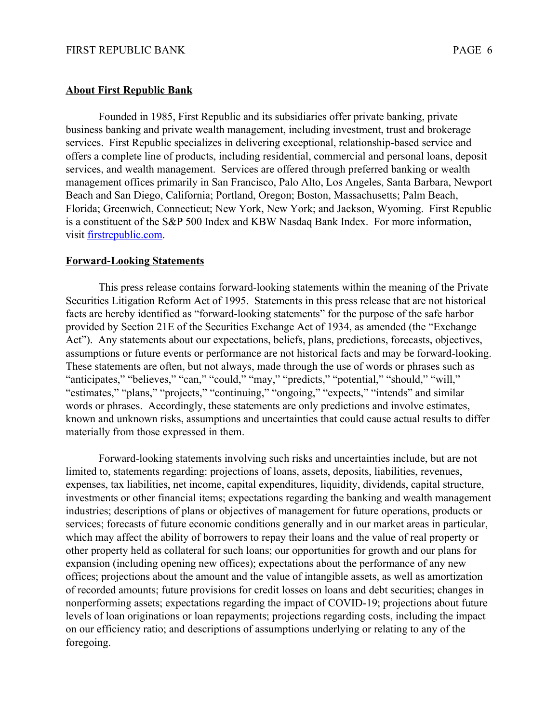### **About First Republic Bank**

Founded in 1985, First Republic and its subsidiaries offer private banking, private business banking and private wealth management, including investment, trust and brokerage services. First Republic specializes in delivering exceptional, relationship-based service and offers a complete line of products, including residential, commercial and personal loans, deposit services, and wealth management. Services are offered through preferred banking or wealth management offices primarily in San Francisco, Palo Alto, Los Angeles, Santa Barbara, Newport Beach and San Diego, California; Portland, Oregon; Boston, Massachusetts; Palm Beach, Florida; Greenwich, Connecticut; New York, New York; and Jackson, Wyoming. First Republic is a constituent of the S&P 500 Index and KBW Nasdaq Bank Index. For more information, visit [firstrepublic.com.](http://www.firstrepublic.com)

#### **Forward-Looking Statements**

This press release contains forward-looking statements within the meaning of the Private Securities Litigation Reform Act of 1995. Statements in this press release that are not historical facts are hereby identified as "forward-looking statements" for the purpose of the safe harbor provided by Section 21E of the Securities Exchange Act of 1934, as amended (the "Exchange Act"). Any statements about our expectations, beliefs, plans, predictions, forecasts, objectives, assumptions or future events or performance are not historical facts and may be forward-looking. These statements are often, but not always, made through the use of words or phrases such as "anticipates," "believes," "can," "could," "may," "predicts," "potential," "should," "will," "estimates," "plans," "projects," "continuing," "ongoing," "expects," "intends" and similar words or phrases. Accordingly, these statements are only predictions and involve estimates, known and unknown risks, assumptions and uncertainties that could cause actual results to differ materially from those expressed in them.

Forward-looking statements involving such risks and uncertainties include, but are not limited to, statements regarding: projections of loans, assets, deposits, liabilities, revenues, expenses, tax liabilities, net income, capital expenditures, liquidity, dividends, capital structure, investments or other financial items; expectations regarding the banking and wealth management industries; descriptions of plans or objectives of management for future operations, products or services; forecasts of future economic conditions generally and in our market areas in particular, which may affect the ability of borrowers to repay their loans and the value of real property or other property held as collateral for such loans; our opportunities for growth and our plans for expansion (including opening new offices); expectations about the performance of any new offices; projections about the amount and the value of intangible assets, as well as amortization of recorded amounts; future provisions for credit losses on loans and debt securities; changes in nonperforming assets; expectations regarding the impact of COVID-19; projections about future levels of loan originations or loan repayments; projections regarding costs, including the impact on our efficiency ratio; and descriptions of assumptions underlying or relating to any of the foregoing.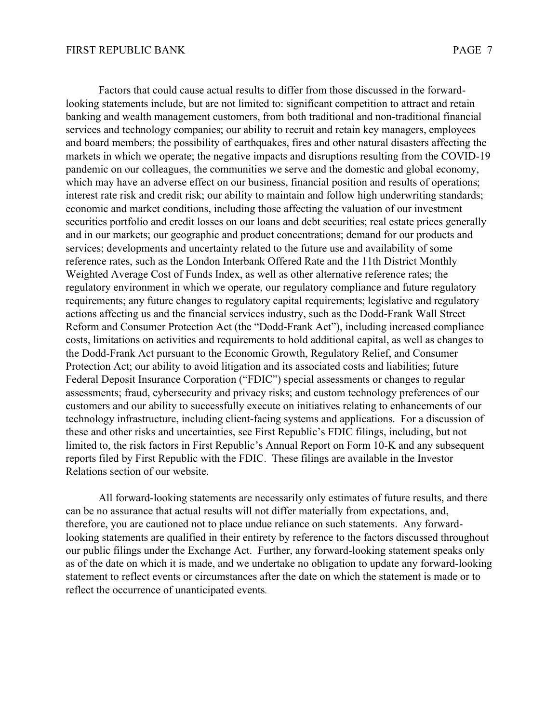Factors that could cause actual results to differ from those discussed in the forwardlooking statements include, but are not limited to: significant competition to attract and retain banking and wealth management customers, from both traditional and non-traditional financial services and technology companies; our ability to recruit and retain key managers, employees and board members; the possibility of earthquakes, fires and other natural disasters affecting the markets in which we operate; the negative impacts and disruptions resulting from the COVID-19 pandemic on our colleagues, the communities we serve and the domestic and global economy, which may have an adverse effect on our business, financial position and results of operations; interest rate risk and credit risk; our ability to maintain and follow high underwriting standards; economic and market conditions, including those affecting the valuation of our investment securities portfolio and credit losses on our loans and debt securities; real estate prices generally and in our markets; our geographic and product concentrations; demand for our products and services; developments and uncertainty related to the future use and availability of some reference rates, such as the London Interbank Offered Rate and the 11th District Monthly Weighted Average Cost of Funds Index, as well as other alternative reference rates; the regulatory environment in which we operate, our regulatory compliance and future regulatory requirements; any future changes to regulatory capital requirements; legislative and regulatory actions affecting us and the financial services industry, such as the Dodd-Frank Wall Street Reform and Consumer Protection Act (the "Dodd-Frank Act"), including increased compliance costs, limitations on activities and requirements to hold additional capital, as well as changes to the Dodd-Frank Act pursuant to the Economic Growth, Regulatory Relief, and Consumer Protection Act; our ability to avoid litigation and its associated costs and liabilities; future Federal Deposit Insurance Corporation ("FDIC") special assessments or changes to regular assessments; fraud, cybersecurity and privacy risks; and custom technology preferences of our customers and our ability to successfully execute on initiatives relating to enhancements of our technology infrastructure, including client-facing systems and applications. For a discussion of these and other risks and uncertainties, see First Republic's FDIC filings, including, but not limited to, the risk factors in First Republic's Annual Report on Form 10-K and any subsequent reports filed by First Republic with the FDIC. These filings are available in the Investor Relations section of our website.

All forward-looking statements are necessarily only estimates of future results, and there can be no assurance that actual results will not differ materially from expectations, and, therefore, you are cautioned not to place undue reliance on such statements. Any forwardlooking statements are qualified in their entirety by reference to the factors discussed throughout our public filings under the Exchange Act. Further, any forward-looking statement speaks only as of the date on which it is made, and we undertake no obligation to update any forward-looking statement to reflect events or circumstances after the date on which the statement is made or to reflect the occurrence of unanticipated events.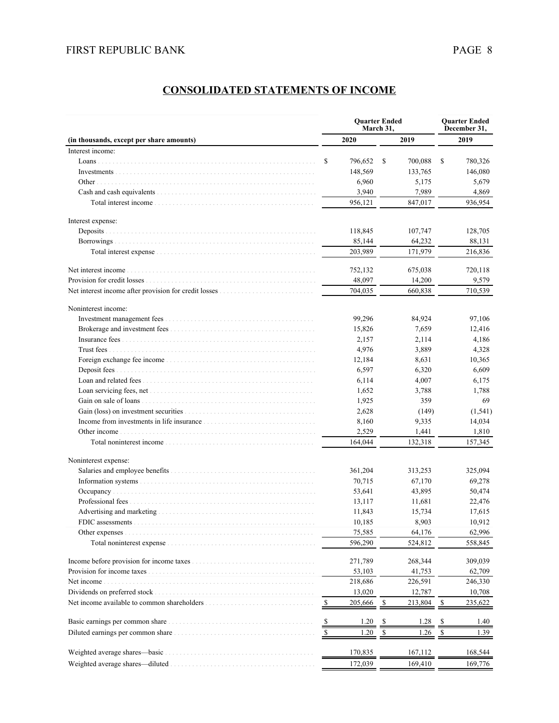# **CONSOLIDATED STATEMENTS OF INCOME**

|                                          |                                 | <b>Quarter Ended</b><br>March 31, | <b>Ouarter Ended</b><br>December 31, |         |                                       |          |
|------------------------------------------|---------------------------------|-----------------------------------|--------------------------------------|---------|---------------------------------------|----------|
| (in thousands, except per share amounts) |                                 | 2020                              |                                      | 2019    |                                       | 2019     |
| Interest income:                         |                                 |                                   |                                      |         |                                       |          |
|                                          | \$                              | 796,652                           | \$                                   | 700,088 | \$                                    | 780,326  |
|                                          |                                 | 148,569                           |                                      | 133,765 |                                       | 146,080  |
|                                          |                                 | 6,960                             |                                      | 5,175   |                                       | 5,679    |
|                                          |                                 | 3,940                             |                                      | 7,989   |                                       | 4,869    |
|                                          |                                 | 956,121                           |                                      | 847,017 |                                       | 936,954  |
| Interest expense:                        |                                 |                                   |                                      |         |                                       |          |
| Deposits                                 |                                 | 118,845                           |                                      | 107,747 |                                       | 128,705  |
|                                          |                                 | 85,144                            |                                      | 64,232  |                                       | 88,131   |
|                                          |                                 | 203,989                           |                                      | 171,979 |                                       | 216,836  |
|                                          |                                 | 752,132                           |                                      | 675,038 |                                       | 720,118  |
|                                          |                                 | 48,097                            |                                      | 14,200  |                                       | 9,579    |
|                                          |                                 | 704,035                           |                                      | 660,838 |                                       | 710,539  |
| Noninterest income:                      |                                 |                                   |                                      |         |                                       |          |
|                                          |                                 | 99,296                            |                                      | 84,924  |                                       | 97,106   |
|                                          |                                 | 15,826                            |                                      | 7,659   |                                       | 12,416   |
|                                          |                                 | 2,157                             |                                      | 2.114   |                                       | 4,186    |
|                                          |                                 | 4,976                             |                                      | 3,889   |                                       | 4,328    |
|                                          |                                 | 12,184                            |                                      | 8,631   |                                       | 10,365   |
|                                          |                                 | 6,597                             |                                      | 6,320   |                                       | 6,609    |
|                                          |                                 | 6,114                             |                                      | 4,007   |                                       | 6,175    |
|                                          |                                 | 1,652                             |                                      | 3,788   |                                       | 1,788    |
|                                          |                                 | 1,925                             |                                      | 359     |                                       | 69       |
|                                          |                                 | 2,628                             |                                      | (149)   |                                       | (1, 541) |
|                                          |                                 | 8,160                             |                                      | 9,335   |                                       | 14,034   |
|                                          |                                 | 2,529                             |                                      | 1,441   |                                       | 1,810    |
|                                          |                                 | 164,044                           |                                      | 132,318 |                                       | 157,345  |
| Noninterest expense:                     |                                 |                                   |                                      |         |                                       |          |
|                                          |                                 | 361,204                           |                                      | 313,253 |                                       | 325,094  |
|                                          |                                 | 70,715                            |                                      | 67,170  |                                       | 69,278   |
|                                          |                                 | 53,641                            |                                      | 43,895  |                                       | 50,474   |
|                                          |                                 | 13,117                            |                                      | 11,681  |                                       | 22,476   |
|                                          |                                 | 11,843                            |                                      | 15,734  |                                       | 17,615   |
|                                          |                                 | 10,185                            |                                      | 8,903   |                                       | 10,912   |
| Other expenses                           |                                 | 75,585                            |                                      | 64,176  |                                       | 62,996   |
|                                          |                                 | 596,290                           |                                      | 524,812 |                                       | 558,845  |
|                                          |                                 | 271,789                           |                                      | 268,344 |                                       | 309,039  |
| Provision for income taxes               |                                 | 53,103                            |                                      | 41,753  |                                       | 62,709   |
| Net income                               |                                 | 218,686                           |                                      | 226,591 |                                       | 246,330  |
|                                          |                                 | 13,020                            |                                      | 12,787  |                                       | 10,708   |
|                                          | S.                              | 205,666                           | \$                                   | 213,804 | \$                                    | 235,622  |
|                                          | $\frac{1}{2}$                   | 1.20                              |                                      | 1.28    |                                       | 1.40     |
|                                          | $\frac{\mathsf{s}}{\mathsf{s}}$ | 1.20                              | $\frac{1}{2}$<br>\$                  | 1.26    | $\frac{\mathsf{s}}{\mathsf{s}}$<br>\$ | 1.39     |
|                                          |                                 |                                   |                                      |         |                                       |          |
|                                          |                                 | 170,835                           |                                      | 167,112 |                                       | 168,544  |
|                                          |                                 | 172,039                           |                                      | 169,410 |                                       | 169,776  |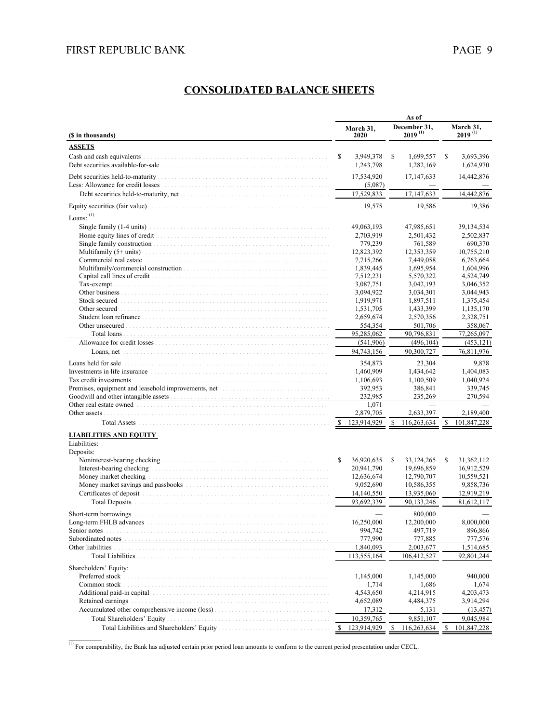# **CONSOLIDATED BALANCE SHEETS**

|                                                                                                                                                                                                                                | As of                             |                        |    |                              |    |                           |  |  |  |  |
|--------------------------------------------------------------------------------------------------------------------------------------------------------------------------------------------------------------------------------|-----------------------------------|------------------------|----|------------------------------|----|---------------------------|--|--|--|--|
| (\$ in thousands)                                                                                                                                                                                                              |                                   | March 31,<br>2020      |    | December 31,<br>$2019^{(1)}$ |    | March 31,<br>$2019^{(1)}$ |  |  |  |  |
| <b>ASSETS</b>                                                                                                                                                                                                                  |                                   |                        |    |                              |    |                           |  |  |  |  |
| Cash and cash equivalents                                                                                                                                                                                                      | \$                                | 3,949,378<br>1,243,798 | S  | 1,699,557<br>1,282,169       | S  | 3,693,396<br>1,624,970    |  |  |  |  |
| Debt securities held-to-maturity                                                                                                                                                                                               |                                   | 17,534,920<br>(5,087)  |    | 17, 147, 633                 |    | 14,442,876                |  |  |  |  |
|                                                                                                                                                                                                                                |                                   | 17,529,833             |    | 17,147,633                   |    | 14,442,876                |  |  |  |  |
|                                                                                                                                                                                                                                |                                   | 19,575                 |    | 19.586                       |    | 19,386                    |  |  |  |  |
| Loans: $(1)$                                                                                                                                                                                                                   |                                   |                        |    |                              |    |                           |  |  |  |  |
|                                                                                                                                                                                                                                |                                   | 49,063,193             |    | 47,985,651                   |    | 39,134,534                |  |  |  |  |
|                                                                                                                                                                                                                                |                                   | 2,703,919              |    | 2,501,432                    |    | 2,502,837                 |  |  |  |  |
|                                                                                                                                                                                                                                |                                   | 779,239                |    | 761,589                      |    | 690,370                   |  |  |  |  |
|                                                                                                                                                                                                                                |                                   | 12,823,392             |    | 12,353,359                   |    | 10,755,210                |  |  |  |  |
|                                                                                                                                                                                                                                |                                   | 7,715,266              |    | 7,449,058                    |    | 6,763,664                 |  |  |  |  |
|                                                                                                                                                                                                                                |                                   | 1,839,445              |    | 1,695,954                    |    | 1,604,996                 |  |  |  |  |
|                                                                                                                                                                                                                                |                                   | 7,512,231              |    | 5,570,322                    |    | 4,524,749                 |  |  |  |  |
|                                                                                                                                                                                                                                |                                   | 3,087,751              |    | 3,042,193                    |    | 3,046,352                 |  |  |  |  |
|                                                                                                                                                                                                                                |                                   | 3,094,922              |    | 3,034,301                    |    | 3,044,943                 |  |  |  |  |
| Stock secured                                                                                                                                                                                                                  |                                   | 1,919,971              |    | 1,897,511                    |    | 1,375,454                 |  |  |  |  |
| Other secured                                                                                                                                                                                                                  |                                   | 1,531,705              |    | 1,433,399                    |    | 1,135,170                 |  |  |  |  |
|                                                                                                                                                                                                                                |                                   | 2,659,674              |    | 2,570,356                    |    | 2,328,751                 |  |  |  |  |
|                                                                                                                                                                                                                                |                                   | 554,354                |    | 501.706                      |    | 358.067                   |  |  |  |  |
| Total loans                                                                                                                                                                                                                    |                                   | 95,285,062             |    | 90,796,831                   |    | 77,265,097                |  |  |  |  |
|                                                                                                                                                                                                                                |                                   | (541,906)              |    | (496, 104)                   |    | (453, 121)                |  |  |  |  |
| Loans, net                                                                                                                                                                                                                     |                                   | 94,743,156             |    | 90,300,727                   |    | 76,811,976                |  |  |  |  |
| Loans held for sale                                                                                                                                                                                                            |                                   | 354,873                |    | 23,304                       |    | 9,878                     |  |  |  |  |
| Investments in life insurance                                                                                                                                                                                                  |                                   | 1,460,909              |    | 1,434,642                    |    | 1,404,083                 |  |  |  |  |
|                                                                                                                                                                                                                                |                                   | 1,106,693              |    | 1,100,509                    |    | 1,040,924                 |  |  |  |  |
| Premises, equipment and leasehold improvements, net encourage and the set of the set of the set of the set of the set of the set of the set of the set of the set of the set of the set of the set of the set of the set of th |                                   | 392,953                |    | 386,841                      |    | 339,745                   |  |  |  |  |
|                                                                                                                                                                                                                                |                                   | 232,985                |    | 235,269                      |    | 270,594                   |  |  |  |  |
| Other real estate owned encouragement of the contract of the contract of the contract of the contract of the contract of the contract of the contract of the contract of the contract of the contract of the contract of the c |                                   | 1,071                  |    |                              |    |                           |  |  |  |  |
| Other assets                                                                                                                                                                                                                   |                                   | 2,879,705              |    | 2,633,397                    |    | 2,189,400                 |  |  |  |  |
|                                                                                                                                                                                                                                | $\frac{\mathcal{S}}{\mathcal{S}}$ | 123,914,929            | -S | 116,263,634                  | -S | 101,847,228               |  |  |  |  |
| <b>LIABILITIES AND EQUITY</b>                                                                                                                                                                                                  |                                   |                        |    |                              |    |                           |  |  |  |  |
| Liabilities:                                                                                                                                                                                                                   |                                   |                        |    |                              |    |                           |  |  |  |  |
| Deposits:                                                                                                                                                                                                                      |                                   |                        |    |                              |    |                           |  |  |  |  |
|                                                                                                                                                                                                                                | \$                                | 36,920,635             | S  | 33,124,265                   | \$ | 31,362,112                |  |  |  |  |
|                                                                                                                                                                                                                                |                                   | 20,941,790             |    | 19,696,859                   |    | 16,912,529                |  |  |  |  |
|                                                                                                                                                                                                                                |                                   | 12,636,674             |    | 12,790,707                   |    | 10,559,521                |  |  |  |  |
|                                                                                                                                                                                                                                |                                   | 9,052,690              |    | 10,586,355                   |    | 9,858,736                 |  |  |  |  |
|                                                                                                                                                                                                                                |                                   | 14,140,550             |    | 13,935,060                   |    | 12,919,219                |  |  |  |  |
|                                                                                                                                                                                                                                |                                   | 93,692,339             |    | 90,133,246                   |    | 81,612,117                |  |  |  |  |
|                                                                                                                                                                                                                                |                                   |                        |    | 800,000                      |    |                           |  |  |  |  |
| Long-term FHLB advances                                                                                                                                                                                                        |                                   | 16,250,000             |    | 12,200,000                   |    | 8,000,000                 |  |  |  |  |
| Senior notes                                                                                                                                                                                                                   |                                   | 994,742                |    |                              |    |                           |  |  |  |  |
| Subordinated notes                                                                                                                                                                                                             |                                   | 777,990                |    | 497,719                      |    | 896,866                   |  |  |  |  |
| Other liabilities                                                                                                                                                                                                              |                                   |                        |    | 777,885                      |    | 777,576                   |  |  |  |  |
|                                                                                                                                                                                                                                |                                   | 1,840,093              |    | 2,003,677                    |    | 1,514,685<br>92,801,244   |  |  |  |  |
|                                                                                                                                                                                                                                |                                   | 113,555,164            |    | 106,412,527                  |    |                           |  |  |  |  |
| Shareholders' Equity:                                                                                                                                                                                                          |                                   |                        |    |                              |    |                           |  |  |  |  |
| Preferred stock                                                                                                                                                                                                                |                                   | 1,145,000              |    | 1,145,000                    |    | 940,000                   |  |  |  |  |
| Common stock                                                                                                                                                                                                                   |                                   | 1,714                  |    | 1,686                        |    | 1,674                     |  |  |  |  |
| Additional paid-in capital experience and the contract of the contract of the contract of the contract of the contract of the contract of the contract of the contract of the contract of the contract of the contract of the  |                                   | 4,543,650              |    | 4,214,915                    |    | 4,203,473                 |  |  |  |  |
| Retained earnings                                                                                                                                                                                                              |                                   | 4,652,089              |    | 4,484,375                    |    | 3,914,294                 |  |  |  |  |
|                                                                                                                                                                                                                                |                                   | 17,312                 |    | 5,131                        |    | (13, 457)                 |  |  |  |  |
| Total Shareholders' Equity                                                                                                                                                                                                     |                                   | 10,359,765             |    | 9,851,107                    |    | 9,045,984                 |  |  |  |  |
|                                                                                                                                                                                                                                | -S                                | 123,914,929            | S  | 116,263,634                  | \$ | 101,847,228               |  |  |  |  |

 $\overline{a}^{(1)}$  For comparability, the Bank has adjusted certain prior period loan amounts to conform to the current period presentation under CECL.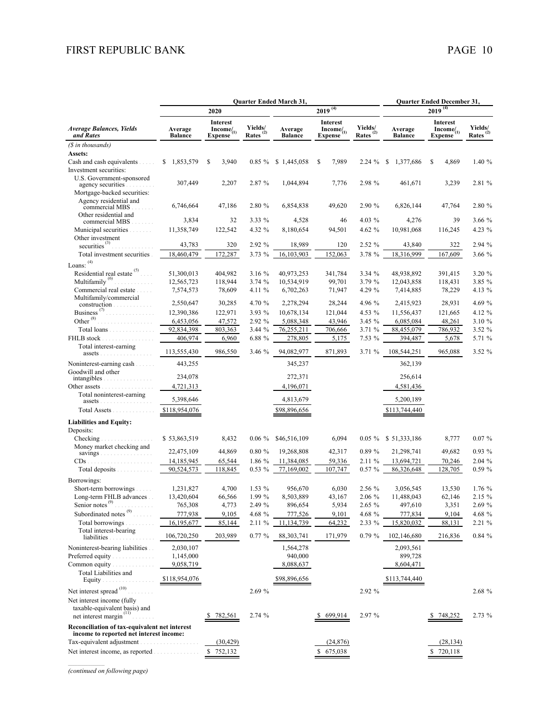|                                                                                          |                           |                                                      |                           | Quarter Ended March 31,   |                                                      |                                 |                           | Quarter Ended December 31,                           |                                 |
|------------------------------------------------------------------------------------------|---------------------------|------------------------------------------------------|---------------------------|---------------------------|------------------------------------------------------|---------------------------------|---------------------------|------------------------------------------------------|---------------------------------|
|                                                                                          |                           | 2020                                                 |                           |                           | $2019^{(4)}$                                         |                                 |                           | $2019^{(4)}$                                         |                                 |
| <b>Average Balances, Yields</b><br>and Rates                                             | Average<br><b>Balance</b> | <b>Interest</b><br>$Income/_{(1)}$<br><b>Expense</b> | Yields/<br>Rates $^{(2)}$ | Average<br><b>Balance</b> | <b>Interest</b><br>$Income/_{(1)}$<br><b>Expense</b> | Yields/<br>Rates <sup>(2)</sup> | Average<br><b>Balance</b> | <b>Interest</b><br>$Income/_{(1)}$<br><b>Expense</b> | Yields/<br>Rates <sup>(2)</sup> |
| (\$ in thousands)                                                                        |                           |                                                      |                           |                           |                                                      |                                 |                           |                                                      |                                 |
| Assets:                                                                                  |                           |                                                      |                           |                           |                                                      |                                 |                           |                                                      |                                 |
| Cash and cash equivalents                                                                | \$1,853,579               | 3,940<br>\$                                          | $0.85 \%$                 | \$1,445,058               | 7,989<br>\$                                          | 2.24%                           | \$<br>1,377,686           | 4,869<br>\$                                          | 1.40 %                          |
| Investment securities:<br>U.S. Government-sponsored                                      |                           |                                                      |                           |                           |                                                      |                                 |                           |                                                      |                                 |
| agency securities                                                                        | 307,449                   | 2,207                                                | 2.87 %                    | 1,044,894                 | 7,776                                                | 2.98 %                          | 461,671                   | 3,239                                                | 2.81 %                          |
| Mortgage-backed securities:                                                              |                           |                                                      |                           |                           |                                                      |                                 |                           |                                                      |                                 |
| Agency residential and<br>commercial MBS                                                 | 6,746,664                 | 47,186                                               | 2.80 %                    | 6,854,838                 | 49,620                                               | 2.90 %                          | 6,826,144                 | 47,764                                               | 2.80 %                          |
| Other residential and                                                                    |                           |                                                      |                           |                           |                                                      |                                 |                           |                                                      |                                 |
| commercial MBS<br>.                                                                      | 3,834                     | 32                                                   | 3.33 %                    | 4,528                     | 46                                                   | 4.03 %                          | 4,276                     | 39                                                   | 3.66 %                          |
| Municipal securities                                                                     | 11,358,749                | 122,542                                              | 4.32 %                    | 8,180,654                 | 94,501                                               | 4.62 %                          | 10,981,068                | 116,245                                              | 4.23 %                          |
| Other investment<br>securities $^{(3)}$                                                  | 43,783                    | 320                                                  | 2.92 %                    | 18,989                    | 120                                                  | 2.52 %                          | 43,840                    | 322                                                  | 2.94 %                          |
| Total investment securities.                                                             | 18,460,479                | 172,287                                              | 3.73 %                    | 16,103,903                | 152,063                                              | 3.78 %                          | 18,316,999                | 167,609                                              | 3.66 %                          |
|                                                                                          |                           |                                                      |                           |                           |                                                      |                                 |                           |                                                      |                                 |
| Loans:<br>Residential real estate $(5)$                                                  | 51,300,013                | 404,982                                              | 3.16 %                    | 40,973,253                | 341,784                                              | 3.34 %                          | 48,938,892                | 391,415                                              | 3.20 %                          |
| Multifamily <sup>(6)</sup><br>.                                                          | 12,565,723                | 118,944                                              | 3.74 %                    | 10,534,919                | 99,701                                               | 3.79 %                          | 12,043,858                | 118,431                                              | 3.85 %                          |
| Commercial real estate                                                                   | 7,574,573                 | 78,609                                               | 4.11 %                    | 6,702,263                 | 71,947                                               | 4.29 %                          | 7,414,885                 | 78,229                                               | 4.13 %                          |
| Multifamily/commercial                                                                   |                           |                                                      |                           |                           |                                                      |                                 |                           |                                                      |                                 |
| construction<br>Business <sup>(7)</sup>                                                  | 2,550,647                 | 30,285                                               | 4.70 %                    | 2,278,294                 | 28,244                                               | 4.96 %                          | 2,415,923                 | 28,931                                               | 4.69 %                          |
| .<br>Other <sup>(8)</sup><br>.                                                           | 12,390,386<br>6,453,056   | 122,971                                              | 3.93 %<br>2.92 %          | 10,678,134                | 121,044                                              | 4.53 %<br>3.45 %                | 11,556,437                | 121,665                                              | 4.12 %<br>3.10 %                |
| Total loans                                                                              | 92,834,398                | 47,572<br>803,363                                    | 3.44 %                    | 5,088,348<br>76,255,211   | 43,946<br>706,666                                    | 3.71 %                          | 6,085,084<br>88,455,079   | 48,261<br>786,932                                    | 3.52 %                          |
| FHLB stock.<br>.                                                                         | 406,974                   | 6,960                                                | 6.88 %                    | 278,805                   | 5,175                                                | 7.53 %                          | 394,487                   | 5,678                                                | 5.71 %                          |
| Total interest-earning                                                                   |                           |                                                      |                           |                           |                                                      |                                 |                           |                                                      |                                 |
| assets                                                                                   | 113,555,430               | 986,550                                              | 3.46 %                    | 94,082,977                | 871,893                                              | 3.71 %                          | 108,544,251               | 965,088                                              | 3.52 %                          |
| Noninterest-earning cash                                                                 | 443,255                   |                                                      |                           | 345,237                   |                                                      |                                 | 362,139                   |                                                      |                                 |
| Goodwill and other                                                                       | 234,078                   |                                                      |                           | 272,371                   |                                                      |                                 | 256,614                   |                                                      |                                 |
| intangibles<br>.<br>Other assets                                                         | 4,721,313                 |                                                      |                           | 4,196,071                 |                                                      |                                 | 4,581,436                 |                                                      |                                 |
| Total noninterest-earning                                                                |                           |                                                      |                           |                           |                                                      |                                 |                           |                                                      |                                 |
| assets                                                                                   | 5,398,646                 |                                                      |                           | 4,813,679                 |                                                      |                                 | 5,200,189                 |                                                      |                                 |
| Total Assets                                                                             | \$118,954,076             |                                                      |                           | \$98,896,656              |                                                      |                                 | \$113,744,440             |                                                      |                                 |
| <b>Liabilities and Equity:</b>                                                           |                           |                                                      |                           |                           |                                                      |                                 |                           |                                                      |                                 |
| Deposits:                                                                                |                           |                                                      |                           |                           |                                                      |                                 |                           |                                                      |                                 |
| Checking                                                                                 | \$53,863,519              | 8,432                                                | $0.06 \%$                 | \$46,516,109              | 6,094                                                | $0.05 \%$                       | \$51,333,186              | 8,777                                                | $0.07 \%$                       |
| Money market checking and<br>savings                                                     | 22,475,109                | 44,869                                               | $0.80 \%$                 | 19,268,808                | 42,317                                               | $0.89\ \%$                      | 21,298,741                | 49,682                                               | $0.93\%$                        |
| $CDs$ .<br>.                                                                             | 14,185,945                | 65,544                                               | 1.86 %                    | 11,384,085                | 59,336                                               | 2.11 %                          | 13,694,721                | 70,246                                               | 2.04 %                          |
| Total deposits                                                                           | 90,524,573                | 118,845                                              | $0.53 \%$                 | 77,169,002                | 107,747                                              | $0.57 \%$                       | 86,326,648                | 128,705                                              | 0.59%                           |
| Borrowings:                                                                              |                           |                                                      |                           |                           |                                                      |                                 |                           |                                                      |                                 |
| Short-term borrowings                                                                    | 1,231,827                 | 4,700                                                | 1.53 %                    | 956,670                   | 6,030                                                | 2.56 %                          | 3,056,545                 | 13,530                                               | 1.76 %                          |
| Long-term FHLB advances.                                                                 | 13,420,604                | 66,566                                               | 1.99 %                    | 8,503,889                 | 43,167                                               | 2.06 %                          | 11,488,043                | 62,146                                               | 2.15 %                          |
| Senior notes <sup>(9)</sup>                                                              | 765,308                   | 4,773                                                | 2.49 %                    | 896,654                   | 5,934                                                | 2.65 %                          | 497,610                   | 3,351                                                | 2.69 %                          |
| Subordinated notes <sup>(9)</sup>                                                        | 777,938                   | 9,105                                                | 4.68 %                    | 777,526                   | 9,101                                                | 4.68 %                          | 777,834                   | 9,104                                                | 4.68 %                          |
| Total borrowings<br>Total interest-bearing                                               | 16,195,677                | 85,144                                               | 2.11 %                    | 11,134,739                | 64,232                                               | 2.33 %                          | 15,820,032                | 88,131                                               | 2.21 %                          |
| liabilities                                                                              | 106,720,250               | 203,989                                              | $0.77\%$                  | 88, 303, 741              | 171,979                                              | 0.79%                           | 102,146,680               | 216,836                                              | $0.84 \%$                       |
| Noninterest-bearing liabilities                                                          | 2,030,107                 |                                                      |                           | 1,564,278                 |                                                      |                                 | 2,093,561                 |                                                      |                                 |
| Preferred equity                                                                         | 1,145,000                 |                                                      |                           | 940,000                   |                                                      |                                 | 899,728                   |                                                      |                                 |
| Common equity<br>.                                                                       | <u>9,058,719</u>          |                                                      |                           | 8,088,637                 |                                                      |                                 | 8,604,471                 |                                                      |                                 |
| Total Liabilities and                                                                    | \$118,954,076             |                                                      |                           |                           |                                                      |                                 | \$113,744,440             |                                                      |                                 |
| Equity                                                                                   |                           |                                                      |                           | \$98,896,656              |                                                      |                                 |                           |                                                      |                                 |
| Net interest spread $^{(10)}$                                                            |                           |                                                      | 2.69 %                    |                           |                                                      | $2.92\%$                        |                           |                                                      | 2.68 %                          |
| Net interest income (fully<br>taxable-equivalent basis) and                              |                           |                                                      |                           |                           |                                                      |                                 |                           |                                                      |                                 |
| net interest margin <sup>(11)</sup>                                                      |                           | 782,561                                              | 2.74 %                    |                           | 699,914                                              | 2.97 %                          |                           | 748,252                                              | 2.73 %                          |
|                                                                                          |                           |                                                      |                           |                           |                                                      |                                 |                           |                                                      |                                 |
| Reconciliation of tax-equivalent net interest<br>income to reported net interest income: |                           |                                                      |                           |                           |                                                      |                                 |                           |                                                      |                                 |
| Tax-equivalent adjustment                                                                |                           | (30, 429)                                            |                           |                           | (24, 876)                                            |                                 |                           | (28, 134)                                            |                                 |
| Net interest income, as reported <i>manufacturers</i>                                    |                           | 752,132<br>\$                                        |                           |                           | \$ 675,038                                           |                                 |                           | 720,118<br>S                                         |                                 |
|                                                                                          |                           |                                                      |                           |                           |                                                      |                                 |                           |                                                      |                                 |

*\_\_\_\_\_\_\_\_\_\_\_\_\_\_\_\_\_\_\_\_ (continued on following page)*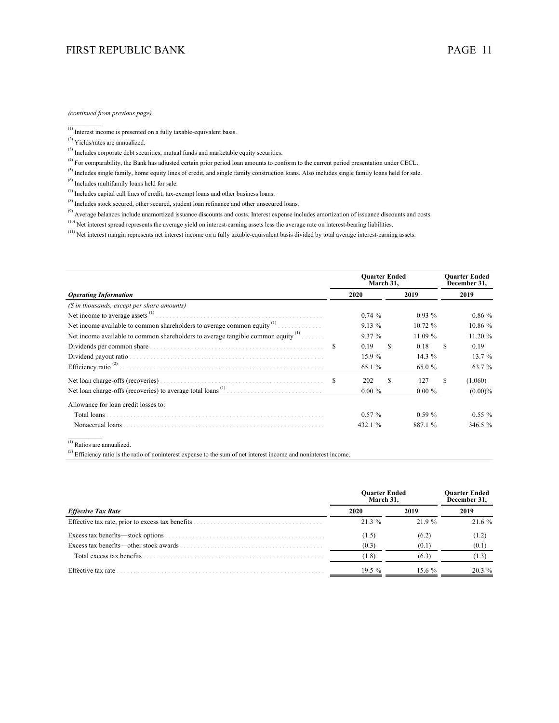#### *(continued from previous page)*

- <sup>(1)</sup> Interest income is presented on a fully taxable-equivalent basis.
- (2) Yields/rates are annualized.
- $(3)$  Includes corporate debt securities, mutual funds and marketable equity securities.
- $(4)$  For comparability, the Bank has adjusted certain prior period loan amounts to conform to the current period presentation under CECL.
- $<sup>(5)</sup>$  Includes single family, home equity lines of credit, and single family construction loans. Also includes single family loans held for sale.</sup>
- (6) Includes multifamily loans held for sale.
- $(7)$  Includes capital call lines of credit, tax-exempt loans and other business loans.
- <sup>(8)</sup> Includes stock secured, other secured, student loan refinance and other unsecured loans.
- <sup>(9)</sup> Average balances include unamortized issuance discounts and costs. Interest expense includes amortization of issuance discounts and costs.
- $<sup>(10)</sup>$  Net interest spread represents the average yield on interest-earning assets less the average rate on interest-bearing liabilities.</sup>

<sup>(11)</sup> Net interest margin represents net interest income on a fully taxable-equivalent basis divided by total average interest-earning assets.

|                                                                                                                                                                                                                                |  | <b>Ouarter Ended</b><br>March 31. |   | <b>Ouarter Ended</b><br>December 31, |    |            |
|--------------------------------------------------------------------------------------------------------------------------------------------------------------------------------------------------------------------------------|--|-----------------------------------|---|--------------------------------------|----|------------|
| <b>Operating Information</b>                                                                                                                                                                                                   |  | 2020                              |   | 2019                                 |    | 2019       |
| $(S$ in thousands, except per share amounts)                                                                                                                                                                                   |  |                                   |   |                                      |    |            |
| Net income to average assets $(1)$                                                                                                                                                                                             |  | 0.74%                             |   | $0.93\%$                             |    | $0.86\%$   |
| Net income available to common shareholders to average common equity $(1)$                                                                                                                                                     |  | $9.13\%$                          |   | $10.72 \%$                           |    | 10.86 %    |
| Net income available to common shareholders to average tangible common equity <sup>(1)</sup>                                                                                                                                   |  | 9.37%                             |   | 11.09%                               |    | 11.20 %    |
| Dividends per common share entertainment of the state of the state of the state of the state of the state of the state of the state of the state of the state of the state of the state of the state of the state of the state |  | 0.19                              | S | 0.18                                 | S. | 0.19       |
| Dividend payout ratio                                                                                                                                                                                                          |  | 15.9 %                            |   | $14.3\%$                             |    | $13.7 \%$  |
| Efficiency ratio <sup><math>(2)</math></sup>                                                                                                                                                                                   |  | 65.1 %                            |   | 65.0 %                               |    | 63.7 %     |
| Net loan charge-offs (recoveries).                                                                                                                                                                                             |  | 202                               | S | 127                                  | S  | (1,060)    |
| Net loan charge-offs (recoveries) to average total loans <sup>(1)</sup>                                                                                                                                                        |  | $0.00 \%$                         |   | $0.00 \%$                            |    | $(0.00)\%$ |
| Allowance for loan credit losses to:                                                                                                                                                                                           |  |                                   |   |                                      |    |            |
| Total loans                                                                                                                                                                                                                    |  | $0.57 \%$                         |   | $0.59\%$                             |    | $0.55\%$   |
| Nonaccrual loans                                                                                                                                                                                                               |  | 432.1%                            |   | 887.1%                               |    | 346.5 %    |

 $\overline{^{(1)}$  Ratios are annualized.

 $^{(2)}$  Efficiency ratio is the ratio of noninterest expense to the sum of net interest income and noninterest income.

|                                                   | <b>Ouarter Ended</b><br>March 31. | <b>Ouarter Ended</b><br>December 31, |           |
|---------------------------------------------------|-----------------------------------|--------------------------------------|-----------|
| <b>Effective Tax Rate</b>                         | 2020                              | 2019                                 | 2019      |
| Effective tax rate, prior to excess tax benefits. | 21.3%                             | 21.9%                                | 21.6 %    |
| Excess tax benefits—stock options                 | (1.5)                             | (6.2)                                | (1.2)     |
| Excess tax benefits—other stock awards            | (0.3)                             | (0.1)                                | (0.1)     |
| Total excess tax benefits                         | (1.8)                             | (6.3)                                | (1.3)     |
| Effective tax rate                                | $19.5 \%$                         | $15.6 \%$                            | $20.3 \%$ |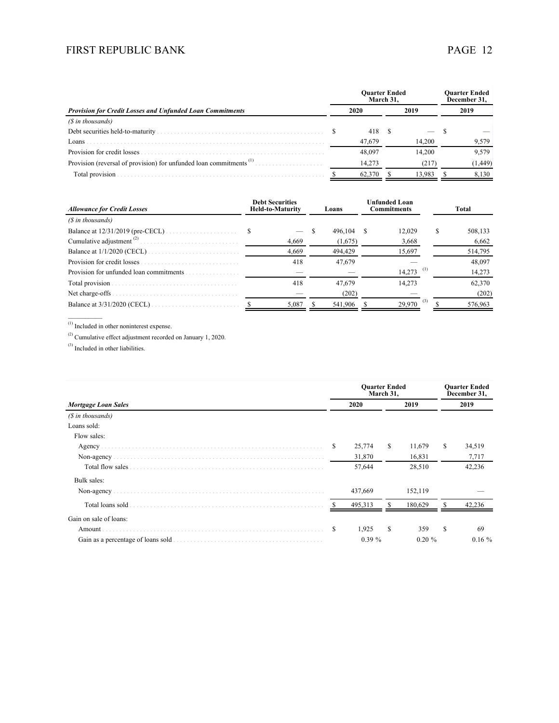|                                                                                | <b>Ouarter Ended</b><br>March 31. | Ouarter Ended<br>December 31, |         |
|--------------------------------------------------------------------------------|-----------------------------------|-------------------------------|---------|
| <b>Provision for Credit Losses and Unfunded Loan Commitments</b>               | 2020                              | 2019                          | 2019    |
| $(S \in \mathbb{R})$ in thousands)                                             |                                   |                               |         |
|                                                                                | 418                               |                               |         |
| Loans                                                                          | 47,679                            | 14.200                        | 9,579   |
| Provision for credit losses                                                    | 48.097                            | 14.200                        | 9.579   |
| Provision (reversal of provision) for unfunded loan commitments <sup>(1)</sup> | 14.273                            | (217)                         | (1,449) |
| Total provision.                                                               | 62.370                            | 13.983                        | 8.130   |
|                                                                                |                                   |                               |         |

| <b>Allowance for Credit Losses</b>            | <b>Debt Securities</b><br><b>Held-to-Maturity</b> |       |  | Loans   |    | <b>Unfunded Loan</b><br><b>Commitments</b> |     |   | Total   |
|-----------------------------------------------|---------------------------------------------------|-------|--|---------|----|--------------------------------------------|-----|---|---------|
| (\$ in thousands)                             |                                                   |       |  |         |    |                                            |     |   |         |
| Balance at 12/31/2019 (pre-CECL)              |                                                   |       |  | 496.104 | £. | 12.029                                     |     | S | 508,133 |
|                                               |                                                   | 4,669 |  | (1,675) |    | 3,668                                      |     |   | 6,662   |
|                                               |                                                   | 4,669 |  | 494,429 |    | 15,697                                     |     |   | 514,795 |
| Provision for credit losses                   |                                                   | 418   |  | 47,679  |    |                                            |     |   | 48,097  |
| Provision for unfunded loan commitments.<br>. |                                                   |       |  |         |    | 14,273                                     |     |   | 14,273  |
|                                               |                                                   | 418   |  | 47.679  |    | 14.273                                     |     |   | 62,370  |
| Net charge-offs.                              |                                                   |       |  | (202)   |    |                                            |     |   | (202)   |
| Balance at 3/31/2020 (CECL)                   |                                                   | 5.087 |  | 541.906 |    | 29 970                                     | (3) |   | 576,963 |

 $\frac{1}{(1)}$  Included in other noninterest expense.

 $^{(2)}$  Cumulative effect adjustment recorded on January 1, 2020.

(3) Included in other liabilities.

|                                    | <b>Ouarter Ended</b><br>March 31, | <b>Ouarter Ended</b><br>December 31, |           |    |          |
|------------------------------------|-----------------------------------|--------------------------------------|-----------|----|----------|
| <b>Mortgage Loan Sales</b>         | 2020                              |                                      | 2019      |    | 2019     |
| $(S \in \mathbb{R})$ in thousands) |                                   |                                      |           |    |          |
| Loans sold:                        |                                   |                                      |           |    |          |
| Flow sales:                        |                                   |                                      |           |    |          |
| Agency                             | \$<br>25,774                      | S                                    | 11,679    | \$ | 34,519   |
| Non-agency                         | 31,870                            |                                      | 16,831    |    | 7,717    |
| Total flow sales                   | 57,644                            |                                      | 28,510    |    | 42,236   |
| Bulk sales:                        |                                   |                                      |           |    |          |
| Non-agency                         | 437,669                           |                                      | 152,119   |    |          |
| Total loans sold                   | 495,313                           |                                      | 180.629   |    | 42,236   |
| Gain on sale of loans:             |                                   |                                      |           |    |          |
| Amount                             | 1,925                             | S                                    | 359       | S  | 69       |
| Gain as a percentage of loans sold | $0.39\%$                          |                                      | $0.20 \%$ |    | $0.16\%$ |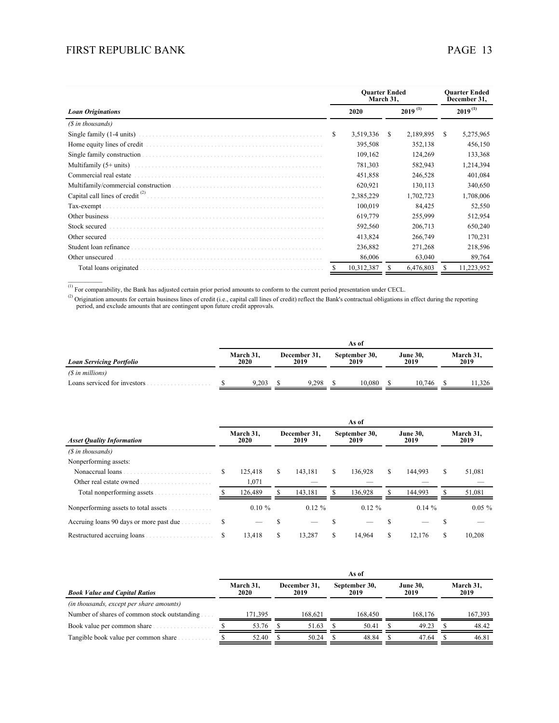|                                       |   | <b>Ouarter Ended</b><br>March 31. |    | <b>Ouarter Ended</b><br>December 31, |   |              |
|---------------------------------------|---|-----------------------------------|----|--------------------------------------|---|--------------|
| <b>Loan Originations</b>              |   | 2020                              |    | $2019^{(1)}$                         |   | $2019^{(1)}$ |
| (\$ in thousands)                     |   |                                   |    |                                      |   |              |
| Single family $(1-4 \text{ units})$ . | S | 3,519,336                         | £. | 2,189,895                            | S | 5,275,965    |
| Home equity lines of credit.          |   | 395,508                           |    | 352,138                              |   | 456,150      |
| Single family construction            |   | 109,162                           |    | 124,269                              |   | 133,368      |
| Multifamily $(5+$ units)              |   | 781,303                           |    | 582,943                              |   | 1,214,394    |
| Commercial real estate                |   | 451,858                           |    | 246,528                              |   | 401,084      |
|                                       |   | 620,921                           |    | 130,113                              |   | 340,650      |
|                                       |   | 2,385,229                         |    | 1,702,723                            |   | 1,708,006    |
| Tax-exempt                            |   | 100,019                           |    | 84,425                               |   | 52,550       |
| Other business                        |   | 619,779                           |    | 255,999                              |   | 512,954      |
| Stock secured                         |   | 592,560                           |    | 206,713                              |   | 650,240      |
| Other secured                         |   | 413,824                           |    | 266,749                              |   | 170,231      |
| Student loan refinance                |   | 236,882                           |    | 271,268                              |   | 218,596      |
| Other unsecured                       |   | 86,006                            |    | 63,040                               |   | 89,764       |
| Total loans originated                |   | 10,312,387                        |    | 6,476,803                            |   | 11,223,952   |

<sup>(1)</sup> For comparability, the Bank has adjusted certain prior period amounts to conform to the current period presentation under CECL.<br><sup>(2)</sup> Origination amounts for certain business lines of credit (i.e., capital call line

|                                 | As of             |  |                                               |  |        |  |                         |                   |        |  |  |
|---------------------------------|-------------------|--|-----------------------------------------------|--|--------|--|-------------------------|-------------------|--------|--|--|
| <b>Loan Servicing Portfolio</b> | March 31,<br>2020 |  | December 31,<br>September 30,<br>2019<br>2019 |  |        |  | <b>June 30,</b><br>2019 | March 31,<br>2019 |        |  |  |
| (\$ in millions)                |                   |  |                                               |  |        |  |                         |                   |        |  |  |
| Loans serviced for investors    | 9.203             |  | 9.298                                         |  | 10.080 |  | 10.746                  |                   | 11.326 |  |  |

|                                         | As of |                   |   |                      |    |                       |          |                         |    |                   |  |  |  |  |
|-----------------------------------------|-------|-------------------|---|----------------------|----|-----------------------|----------|-------------------------|----|-------------------|--|--|--|--|
| <b>Asset Quality Information</b>        |       | March 31.<br>2020 |   | December 31.<br>2019 |    | September 30,<br>2019 |          | <b>June 30.</b><br>2019 |    | March 31,<br>2019 |  |  |  |  |
| $(S$ in thousands)                      |       |                   |   |                      |    |                       |          |                         |    |                   |  |  |  |  |
| Nonperforming assets:                   |       |                   |   |                      |    |                       |          |                         |    |                   |  |  |  |  |
| Nonaccrual loans                        | S     | 125,418           | S | 143.181              | \$ | 136.928               | S        | 144.993                 | \$ | 51,081            |  |  |  |  |
| Other real estate owned                 |       | 1,071             |   |                      |    |                       |          |                         |    |                   |  |  |  |  |
| Total nonperforming assets              |       | 126,489           |   | 143.181              |    | 136.928               |          | 144.993                 |    | 51,081            |  |  |  |  |
| Nonperforming assets to total assets    |       | $0.10 \%$         |   | $0.12 \%$            |    | $0.12 \%$             |          | $0.14 \%$               |    | $0.05 \%$         |  |  |  |  |
| Accruing loans 90 days or more past due |       |                   |   |                      |    |                       | <b>D</b> |                         |    |                   |  |  |  |  |
| Restructured accruing loans             |       | 13.418            |   | 13.287               |    | 14.964                | S        | 12.176                  | S  | 10.208            |  |  |  |  |

| <b>Book Value and Capital Ratios</b>          |  | March 31.<br>2020 |  | December 31.<br>2019 |  | September 30,<br>2019 |  | <b>June 30,</b><br>2019 | March 31,<br>2019 |
|-----------------------------------------------|--|-------------------|--|----------------------|--|-----------------------|--|-------------------------|-------------------|
| (in thousands, except per share amounts)      |  |                   |  |                      |  |                       |  |                         |                   |
| Number of shares of common stock outstanding. |  | 171.395           |  | 168.621              |  | 168.450               |  | 168.176                 | 167,393           |
| Book value per common share                   |  | 53.76             |  | 51.63                |  | 50.41                 |  | 49.23                   | 48.42             |
| Tangible book value per common share          |  | 52.40             |  | 50.24                |  | 48.84                 |  | 47.64                   | 46.81             |